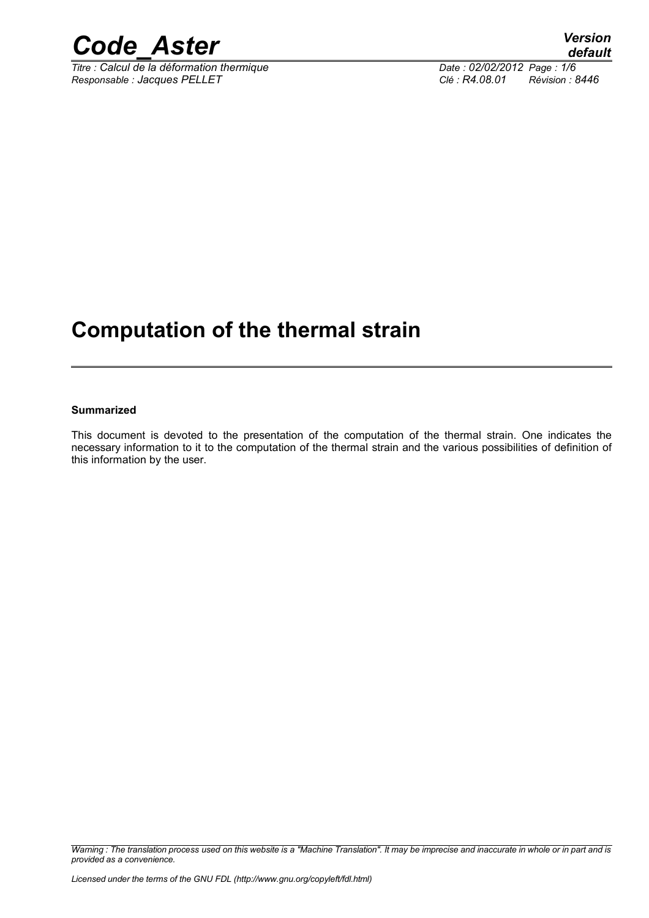

*Titre : Calcul de la déformation thermique Date : 02/02/2012 Page : 1/6 Responsable : Jacques PELLET Clé : R4.08.01 Révision : 8446*

### **Computation of the thermal strain**

#### **Summarized**

This document is devoted to the presentation of the computation of the thermal strain. One indicates the necessary information to it to the computation of the thermal strain and the various possibilities of definition of this information by the user.

*Warning : The translation process used on this website is a "Machine Translation". It may be imprecise and inaccurate in whole or in part and is provided as a convenience.*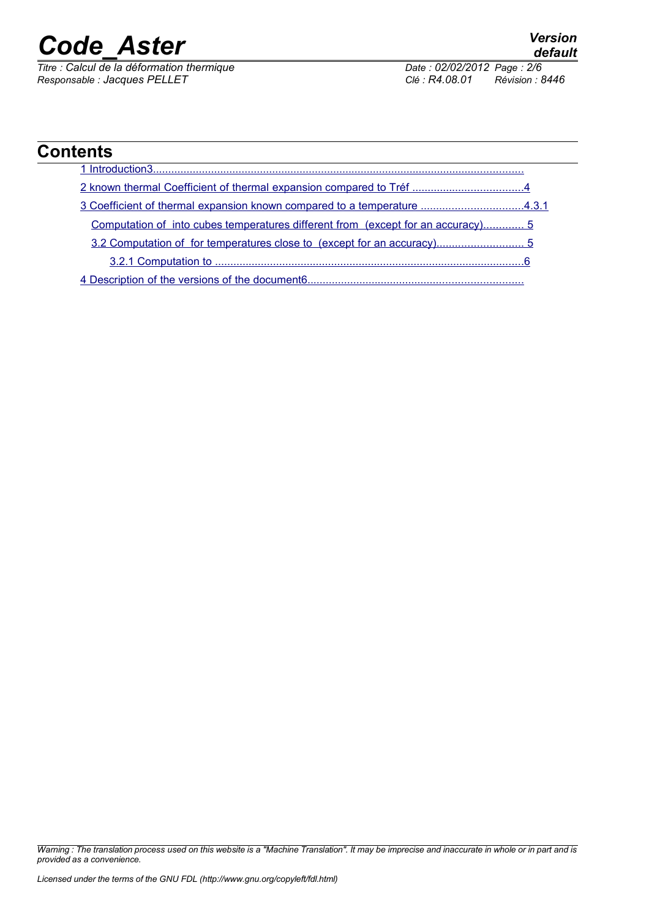*Titre : Calcul de la déformation thermique Date : 02/02/2012 Page : 2/6 Responsable : Jacques PELLET Clé : R4.08.01 Révision : 8446*

| <b>Contents</b>                                                                        |  |
|----------------------------------------------------------------------------------------|--|
| Introduction3.                                                                         |  |
|                                                                                        |  |
| 3.Coefficient of thermal expansion known compared to a temperature 4.3.1               |  |
| <u>Computation of into cubes temperatures different from (except for an accuracy)5</u> |  |
|                                                                                        |  |
| 3.2.1 Computation to                                                                   |  |
| 4 Description of the versions of the document 6.                                       |  |

*Warning : The translation process used on this website is a "Machine Translation". It may be imprecise and inaccurate in whole or in part and is provided as a convenience.*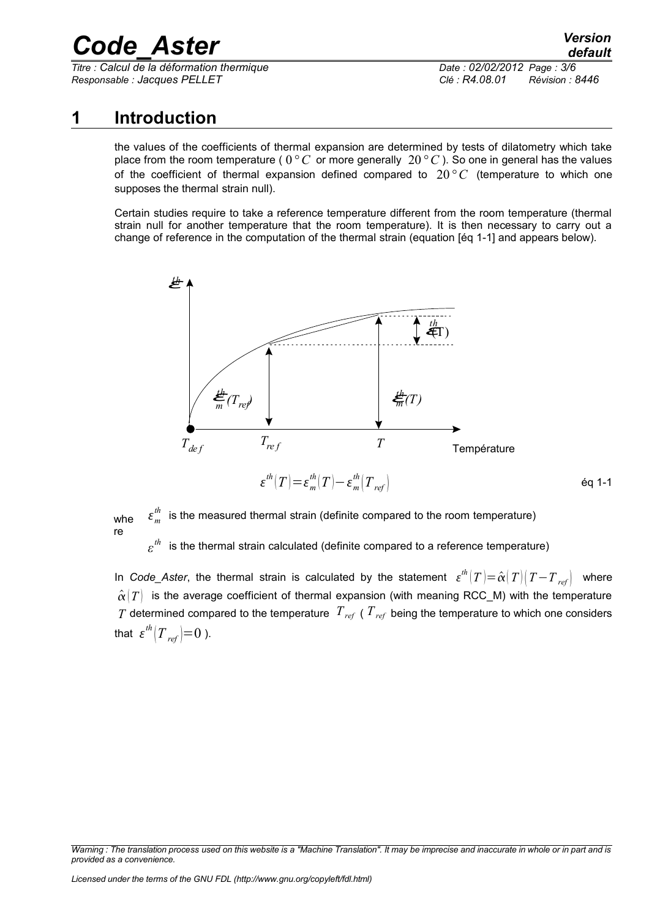*Titre : Calcul de la déformation thermique Date : 02/02/2012 Page : 3/6 Responsable : Jacques PELLET Clé : R4.08.01 Révision : 8446*

*default*

#### **1 Introduction**

<span id="page-2-0"></span>the values of the coefficients of thermal expansion are determined by tests of dilatometry which take place from the room temperature ( 0*°C* or more generally 20*° C* ). So one in general has the values of the coefficient of thermal expansion defined compared to 20*°C* (temperature to which one supposes the thermal strain null).

Certain studies require to take a reference temperature different from the room temperature (thermal strain null for another temperature that the room temperature). It is then necessary to carry out a change of reference in the computation of the thermal strain (equation [éq 1-1] and appears below).



whe re  $\varepsilon_m^{th}$ is the measured thermal strain (definite compared to the room temperature)

*ε* is the thermal strain calculated (definite compared to a reference temperature)

In *Code\_Aster*, the thermal strain is calculated by the statement  $\varepsilon^{th}(T)$   $=$   $\hat{\alpha}(T)\left(T-T_{_{ref}}\right)$  where  $\hat{\alpha}(T)$  is the average coefficient of thermal expansion (with meaning RCC\_M) with the temperature *T* determined compared to the temperature  $T_{ref}$  (  $T_{ref}$  being the temperature to which one considers that  $\left. \boldsymbol{\varepsilon}^{th} \right| \boldsymbol{T}_{\textit{ref}} \bigl) \hspace{-0.5mm} = \hspace{-0.5mm} 0$  ).

*Warning : The translation process used on this website is a "Machine Translation". It may be imprecise and inaccurate in whole or in part and is provided as a convenience.*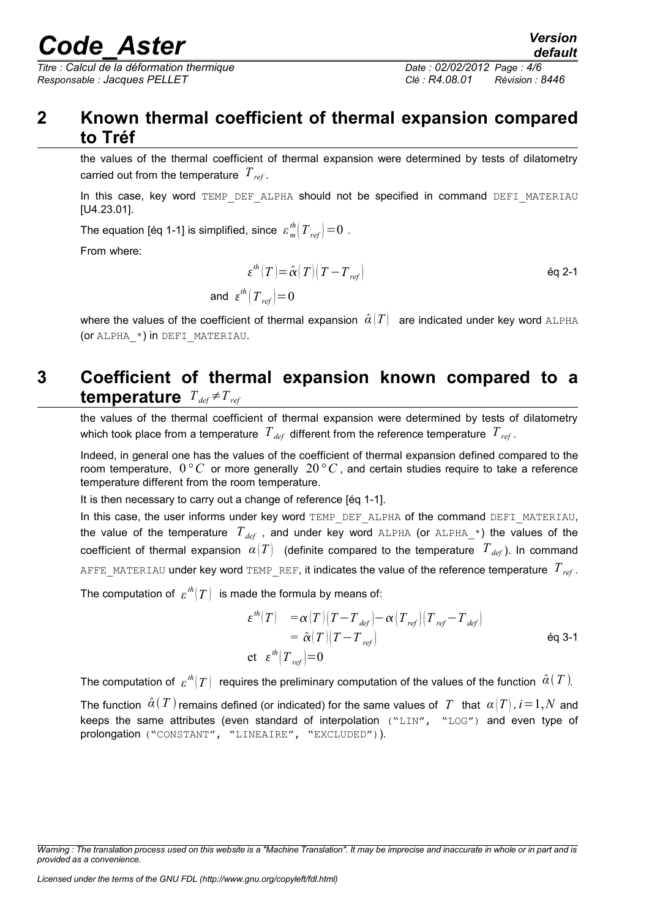*Titre : Calcul de la déformation thermique Date : 02/02/2012 Page : 4/6 Responsable : Jacques PELLET Clé : R4.08.01 Révision : 8446*

#### **2 Known thermal coefficient of thermal expansion compared to Tréf**

<span id="page-3-1"></span>the values of the thermal coefficient of thermal expansion were determined by tests of dilatometry carried out from the temperature *Tref* .

In this case, key word TEMP DEF ALPHA should not be specified in command DEFI MATERIAU [U4.23.01].

The equation [éq 1-1] is simplified, since  $\left. \varepsilon_{\,m}^{^{th}} \right| T_{\,ref} \right| \!=\! 0$  .

From where:

$$
\varepsilon^{th}(T) = \hat{\alpha}(T) (T - T_{ref})
$$
  
and 
$$
\varepsilon^{th}(T_{ref}) = 0
$$

where the values of the coefficient of thermal expansion  $\hat{\alpha}(T)$  are indicated under key word ALPHA (or ALPHA\_\*) in DEFI\_MATERIAU.

#### <span id="page-3-0"></span>**3 Coefficient of thermal expansion known compared to a temperature**  $T_{def} \neq T_{ref}$

the values of the thermal coefficient of thermal expansion were determined by tests of dilatometry which took place from a temperature  $T_{def}$  different from the reference temperature  $T_{ref}$ .

Indeed, in general one has the values of the coefficient of thermal expansion defined compared to the room temperature,  $0\degree C$  or more generally  $20\degree C$ , and certain studies require to take a reference temperature different from the room temperature.

It is then necessary to carry out a change of reference [éq 1-1].

In this case, the user informs under key word TEMP\_DEF\_ALPHA of the command DEFI\_MATERIAU, the value of the temperature  $T_{def}$ , and under key word ALPHA (or ALPHA<sub>\_</sub>\*) the values of the coefficient of thermal expansion  $\alpha(T)$  (definite compared to the temperature  $T_{def}$ ). In command AFFE\_MATERIAU under key word TEMP\_REF, it indicates the value of the reference temperature *Tref* .

The computation of  $\, \varepsilon^{th} |T) \,$  is made the formula by means of:

$$
\varepsilon^{th}(T) = \alpha(T)(T - T_{def}) - \alpha(T_{ref}) (T_{ref} - T_{def})
$$
  
=  $\hat{\alpha}(T)(T - T_{ref})$   
et  $\varepsilon^{th}(T_{ref}) = 0$  6q 3-1

The computation of  $\, \varepsilon^{th}(T) \,$  requires the preliminary computation of the values of the function  $\, \hat{\alpha}( \, T \,)$ 

The function  $\hat{\alpha}(T)$  remains defined (or indicated) for the same values of T that  $\alpha(T), i=1, N$  and keeps the same attributes (even standard of interpolation ("LIN", "LOG") and even type of prolongation ("CONSTANT", "LINEAIRE", "EXCLUDED")).

*Warning : The translation process used on this website is a "Machine Translation". It may be imprecise and inaccurate in whole or in part and is provided as a convenience.*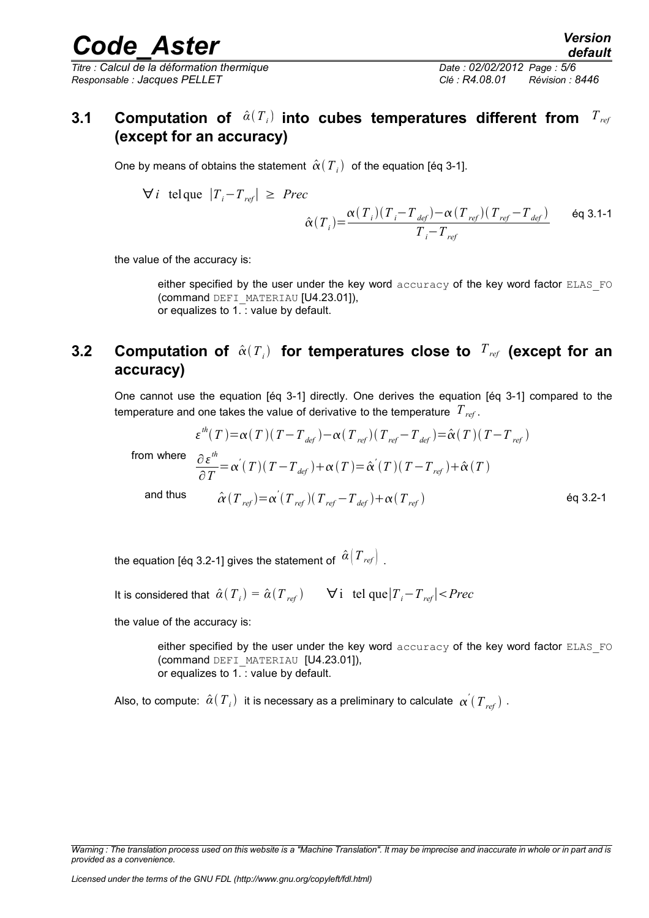*Titre : Calcul de la déformation thermique Date : 02/02/2012 Page : 5/6 Responsable : Jacques PELLET Clé : R4.08.01 Révision : 8446*

#### <span id="page-4-1"></span>**3.1 Computation of**  $\hat{a}(T_i)$  **into cubes temperatures different from**  $T_{\mathit{ref}}$ **(except for an accuracy)**

One by means of obtains the statement  $\left.\hat{\alpha}\right(T_{_{I}}\right) \,$  of the equation [éq 3-1].

$$
\forall i \text{ telque } |T_i - T_{ref}| \ge \text{Prec}
$$

$$
\hat{\alpha}(T_i) = \frac{\alpha(T_i)(T_i - T_{def}) - \alpha(T_{ref})(T_{ref} - T_{def})}{T_i - T_{ref}} \qquad \text{Eq 3.1-1}
$$

the value of the accuracy is:

either specified by the user under the key word accuracy of the key word factor ELAS\_FO (command DEFI\_MATERIAU [U4.23.01]), or equalizes to 1. : value by default.

#### <span id="page-4-0"></span>**3.2 Computation of**  $\hat{\alpha}(T_i)$  for temperatures close to  $T_{ref}$  (except for an **accuracy)**

One cannot use the equation [éq 3-1] directly. One derives the equation [éq 3-1] compared to the temperature and one takes the value of derivative to the temperature *Tref* .

$$
\varepsilon^{th}(T) = \alpha(T)(T - T_{def}) - \alpha(T_{ref})(T_{ref} - T_{def}) = \hat{\alpha}(T)(T - T_{ref})
$$
\n
$$
\partial \varepsilon^{th}
$$

from where

$$
\frac{\partial \varepsilon^m}{\partial T} = \alpha'(T)(T - T_{def}) + \alpha(T) = \hat{\alpha}'(T)(T - T_{ref}) + \hat{\alpha}(T)
$$
  
and thus 
$$
\hat{\alpha}(T_{ref}) = \alpha'(T_{ref})(T_{ref} - T_{def}) + \alpha(T_{ref})
$$

the equation [éq 3.2-1] gives the statement of  $\hat{\alpha}|T_{\text{ref}}|$  .

It is considered that  $\hat{\alpha}(T_{i}) = \hat{\alpha}(T_{ref})$   $\forall i$  tel que $|T_{i} - T_{ref}| < Prec$ 

the value of the accuracy is:

either specified by the user under the key word accuracy of the key word factor ELAS\_FO (command DEFI\_MATERIAU [U4.23.01]), or equalizes to 1. : value by default.

Also, to compute:  $\hat{a}(T_{_i})$  it is necessary as a preliminary to calculate  $\ _\mathsf{c}\alpha^{'}(T_{_{ref}})$  .

*Warning : The translation process used on this website is a "Machine Translation". It may be imprecise and inaccurate in whole or in part and is provided as a convenience.*